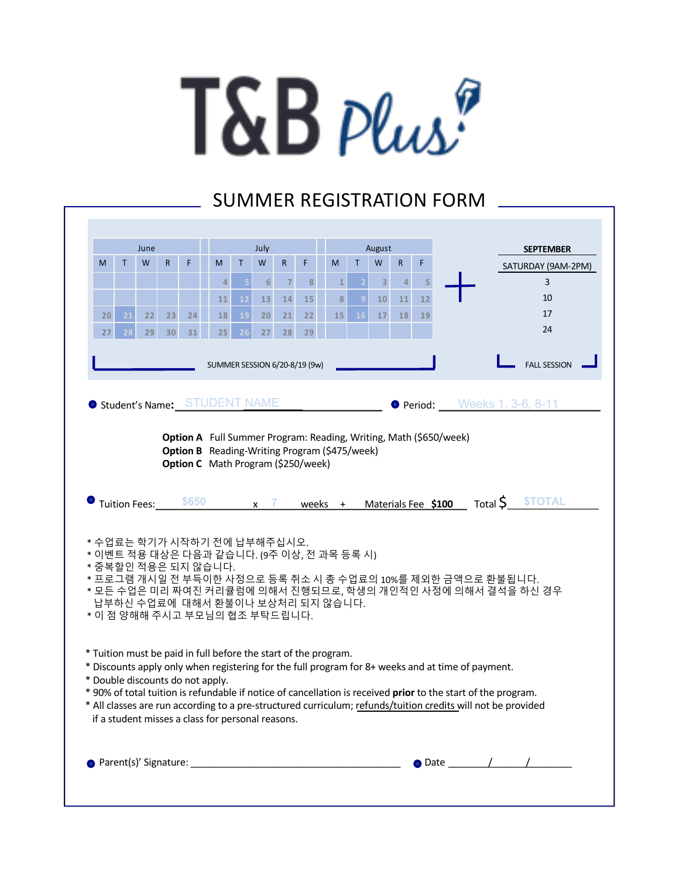## T&B plus?

## SUMMER REGISTRATION FORM

| June            |    |                      |                 | July  |                                                                                                                                                                                                                               |    |                  |                | August                        |              |                |                         |                |    |                     |  | <b>SEPTEMBER</b>   |  |                                     |                    |
|-----------------|----|----------------------|-----------------|-------|-------------------------------------------------------------------------------------------------------------------------------------------------------------------------------------------------------------------------------|----|------------------|----------------|-------------------------------|--------------|----------------|-------------------------|----------------|----|---------------------|--|--------------------|--|-------------------------------------|--------------------|
| M               | T  | W                    | $\mathsf{R}$    | F     | M                                                                                                                                                                                                                             | T  | W                | $\mathsf{R}$   | F                             | M            | $\mathsf{T}$   | W                       | R              | F  |                     |  |                    |  |                                     | SATURDAY (9AM-2PM) |
|                 |    |                      |                 |       | 4                                                                                                                                                                                                                             | 5  | $6 \overline{6}$ | $\overline{7}$ | 8                             | $\mathbf{1}$ | $\overline{2}$ | $\overline{\mathbf{3}}$ | $\overline{4}$ | 5  |                     |  |                    |  | $\overline{3}$                      |                    |
|                 |    |                      |                 |       | 11                                                                                                                                                                                                                            | 12 | 13               | 14             | 15                            | 8            |                | 10                      | 11             | 12 |                     |  |                    |  | 10                                  |                    |
| 20 <sup>°</sup> | 21 | 22                   | 23              | 24    | 18                                                                                                                                                                                                                            | 19 | 20               | 21             | 22                            | 15           | <b>16</b>      | 17                      | 18             | 19 |                     |  |                    |  | 17                                  |                    |
| 27              | 28 | 29                   | 30 <sup>°</sup> | 31    | 25 <sub>1</sub>                                                                                                                                                                                                               | 26 | 27               | 28             | 29                            |              |                |                         |                |    |                     |  |                    |  | 24                                  |                    |
|                 |    |                      |                 |       |                                                                                                                                                                                                                               |    |                  |                | SUMMER SESSION 6/20-8/19 (9w) |              |                |                         |                |    |                     |  |                    |  | <b>FALL SESSION</b>                 |                    |
|                 |    |                      |                 |       | Student's Name: STUDENT NAME                                                                                                                                                                                                  |    |                  |                |                               |              |                |                         |                |    |                     |  |                    |  | <b>O Period:</b> Weeks 1, 3-6, 8-11 |                    |
|                 |    |                      |                 |       | Option A Full Summer Program: Reading, Writing, Math (\$650/week)                                                                                                                                                             |    |                  |                |                               |              |                |                         |                |    |                     |  |                    |  |                                     |                    |
|                 |    |                      |                 |       | <b>Option B</b> Reading-Writing Program (\$475/week)                                                                                                                                                                          |    |                  |                |                               |              |                |                         |                |    |                     |  |                    |  |                                     |                    |
|                 |    |                      |                 |       | Option C Math Program (\$250/week)                                                                                                                                                                                            |    |                  |                |                               |              |                |                         |                |    |                     |  |                    |  |                                     |                    |
|                 |    |                      |                 |       |                                                                                                                                                                                                                               |    |                  |                |                               |              |                |                         |                |    |                     |  |                    |  |                                     |                    |
|                 |    |                      |                 |       |                                                                                                                                                                                                                               |    |                  |                |                               |              |                |                         |                |    |                     |  |                    |  |                                     |                    |
|                 |    |                      |                 | \$650 |                                                                                                                                                                                                                               |    | $x \overline{7}$ |                |                               |              |                |                         |                |    |                     |  |                    |  | <b><i><u>STOTAL</u></i></b>         |                    |
|                 |    | <b>Tuition Fees:</b> |                 |       |                                                                                                                                                                                                                               |    |                  |                | weeks +                       |              |                |                         |                |    | Materials Fee \$100 |  | Total $\mathsf{S}$ |  |                                     |                    |
|                 |    |                      |                 |       |                                                                                                                                                                                                                               |    |                  |                |                               |              |                |                         |                |    |                     |  |                    |  |                                     |                    |
|                 |    |                      |                 |       | * 수업료는 학기가 시작하기 전에 납부해주십시오.<br>* 이벤트 적용 대상은 다음과 같습니다. (9주 이상, 전 과목 등록 시)                                                                                                                                                      |    |                  |                |                               |              |                |                         |                |    |                     |  |                    |  |                                     |                    |
|                 |    |                      |                 |       | * 중복할인 적용은 되지 않습니다.                                                                                                                                                                                                           |    |                  |                |                               |              |                |                         |                |    |                     |  |                    |  |                                     |                    |
|                 |    |                      |                 |       | * 프로그램 개시일 전 부득이한 사정으로 등록 취소 시 총 수업료의 10%를 제외한 금액으로 환불됩니다.                                                                                                                                                                    |    |                  |                |                               |              |                |                         |                |    |                     |  |                    |  |                                     |                    |
|                 |    |                      |                 |       | * 모든 수업은 미리 짜여진 커리큘럼에 의해서 진행되므로, 학생의 개인적인 사정에 의해서 결석을 하신 경우<br>납부하신 수업료에 대해서 환불이나 보상처리 되지 않습니다.                                                                                                                               |    |                  |                |                               |              |                |                         |                |    |                     |  |                    |  |                                     |                    |
|                 |    |                      |                 |       | * 이 점 양해해 주시고 부모님의 협조 부탁드립니다.                                                                                                                                                                                                 |    |                  |                |                               |              |                |                         |                |    |                     |  |                    |  |                                     |                    |
|                 |    |                      |                 |       |                                                                                                                                                                                                                               |    |                  |                |                               |              |                |                         |                |    |                     |  |                    |  |                                     |                    |
|                 |    |                      |                 |       | * Tuition must be paid in full before the start of the program.                                                                                                                                                               |    |                  |                |                               |              |                |                         |                |    |                     |  |                    |  |                                     |                    |
|                 |    |                      |                 |       | * Discounts apply only when registering for the full program for 8+ weeks and at time of payment.                                                                                                                             |    |                  |                |                               |              |                |                         |                |    |                     |  |                    |  |                                     |                    |
|                 |    |                      |                 |       | * Double discounts do not apply.                                                                                                                                                                                              |    |                  |                |                               |              |                |                         |                |    |                     |  |                    |  |                                     |                    |
|                 |    |                      |                 |       | * 90% of total tuition is refundable if notice of cancellation is received prior to the start of the program.<br>* All classes are run according to a pre-structured curriculum; refunds/tuition credits will not be provided |    |                  |                |                               |              |                |                         |                |    |                     |  |                    |  |                                     |                    |
|                 |    |                      |                 |       | if a student misses a class for personal reasons.                                                                                                                                                                             |    |                  |                |                               |              |                |                         |                |    |                     |  |                    |  |                                     |                    |
|                 |    |                      |                 |       |                                                                                                                                                                                                                               |    |                  |                |                               |              |                |                         |                |    |                     |  |                    |  |                                     |                    |
|                 |    |                      |                 |       |                                                                                                                                                                                                                               |    |                  |                |                               |              |                |                         |                |    |                     |  |                    |  |                                     |                    |